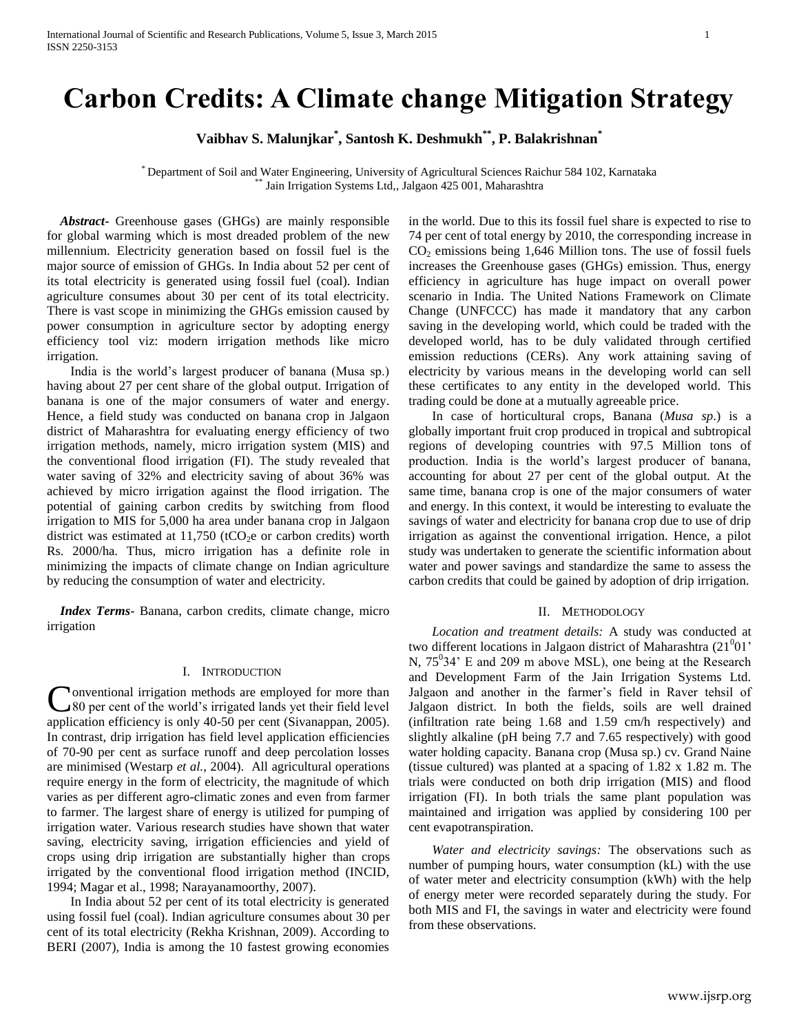# **Carbon Credits: A Climate change Mitigation Strategy**

**Vaibhav S. Malunjkar\* , Santosh K. Deshmukh\*\* , P. Balakrishnan\***

\* Department of Soil and Water Engineering, University of Agricultural Sciences Raichur 584 102, Karnataka \* Jain Irrigation Systems Ltd,, Jalgaon 425 001, Maharashtra

 *Abstract***-** Greenhouse gases (GHGs) are mainly responsible for global warming which is most dreaded problem of the new millennium. Electricity generation based on fossil fuel is the major source of emission of GHGs. In India about 52 per cent of its total electricity is generated using fossil fuel (coal). Indian agriculture consumes about 30 per cent of its total electricity. There is vast scope in minimizing the GHGs emission caused by power consumption in agriculture sector by adopting energy efficiency tool viz: modern irrigation methods like micro irrigation.

India is the world's largest producer of banana (Musa sp.) having about 27 per cent share of the global output. Irrigation of banana is one of the major consumers of water and energy. Hence, a field study was conducted on banana crop in Jalgaon district of Maharashtra for evaluating energy efficiency of two irrigation methods, namely, micro irrigation system (MIS) and the conventional flood irrigation (FI). The study revealed that water saving of 32% and electricity saving of about 36% was achieved by micro irrigation against the flood irrigation. The potential of gaining carbon credits by switching from flood irrigation to MIS for 5,000 ha area under banana crop in Jalgaon district was estimated at  $11,750$  (tCO<sub>2</sub>e or carbon credits) worth Rs. 2000/ha. Thus, micro irrigation has a definite role in minimizing the impacts of climate change on Indian agriculture by reducing the consumption of water and electricity.

 *Index Terms*- Banana, carbon credits, climate change, micro irrigation

## I. INTRODUCTION

onventional irrigation methods are employed for more than 80 per cent of the world's irrigated lands yet their field level **C**onventional irrigation methods are employed for more than 80 per cent of the world's irrigated lands yet their field level application efficiency is only 40-50 per cent (Sivanappan, 2005). In contrast, drip irrigation has field level application efficiencies of 70-90 per cent as surface runoff and deep percolation losses are minimised (Westarp *et al.,* 2004). All agricultural operations require energy in the form of electricity, the magnitude of which varies as per different agro-climatic zones and even from farmer to farmer. The largest share of energy is utilized for pumping of irrigation water. Various research studies have shown that water saving, electricity saving, irrigation efficiencies and yield of crops using drip irrigation are substantially higher than crops irrigated by the conventional flood irrigation method (INCID, 1994; Magar et al., 1998; Narayanamoorthy, 2007).

In India about 52 per cent of its total electricity is generated using fossil fuel (coal). Indian agriculture consumes about 30 per cent of its total electricity (Rekha Krishnan, 2009). According to BERI (2007), India is among the 10 fastest growing economies in the world. Due to this its fossil fuel share is expected to rise to 74 per cent of total energy by 2010, the corresponding increase in  $CO<sub>2</sub>$  emissions being 1,646 Million tons. The use of fossil fuels increases the Greenhouse gases (GHGs) emission. Thus, energy efficiency in agriculture has huge impact on overall power scenario in India. The United Nations Framework on Climate Change (UNFCCC) has made it mandatory that any carbon saving in the developing world, which could be traded with the developed world, has to be duly validated through certified emission reductions (CERs). Any work attaining saving of electricity by various means in the developing world can sell these certificates to any entity in the developed world. This trading could be done at a mutually agreeable price.

In case of horticultural crops, Banana (*Musa sp*.) is a globally important fruit crop produced in tropical and subtropical regions of developing countries with 97.5 Million tons of production. India is the world's largest producer of banana, accounting for about 27 per cent of the global output. At the same time, banana crop is one of the major consumers of water and energy. In this context, it would be interesting to evaluate the savings of water and electricity for banana crop due to use of drip irrigation as against the conventional irrigation. Hence, a pilot study was undertaken to generate the scientific information about water and power savings and standardize the same to assess the carbon credits that could be gained by adoption of drip irrigation.

## II. METHODOLOGY

*Location and treatment details:* A study was conducted at two different locations in Jalgaon district of Maharashtra  $(21<sup>0</sup>01)$ <sup>\*</sup> N,  $75^{\circ}34'$  E and 209 m above MSL), one being at the Research and Development Farm of the Jain Irrigation Systems Ltd. Jalgaon and another in the farmer's field in Raver tehsil of Jalgaon district. In both the fields, soils are well drained (infiltration rate being 1.68 and 1.59 cm/h respectively) and slightly alkaline (pH being 7.7 and 7.65 respectively) with good water holding capacity. Banana crop (Musa sp.) cv. Grand Naine (tissue cultured) was planted at a spacing of 1.82 x 1.82 m. The trials were conducted on both drip irrigation (MIS) and flood irrigation (FI). In both trials the same plant population was maintained and irrigation was applied by considering 100 per cent evapotranspiration.

*Water and electricity savings:* The observations such as number of pumping hours, water consumption (kL) with the use of water meter and electricity consumption (kWh) with the help of energy meter were recorded separately during the study. For both MIS and FI, the savings in water and electricity were found from these observations.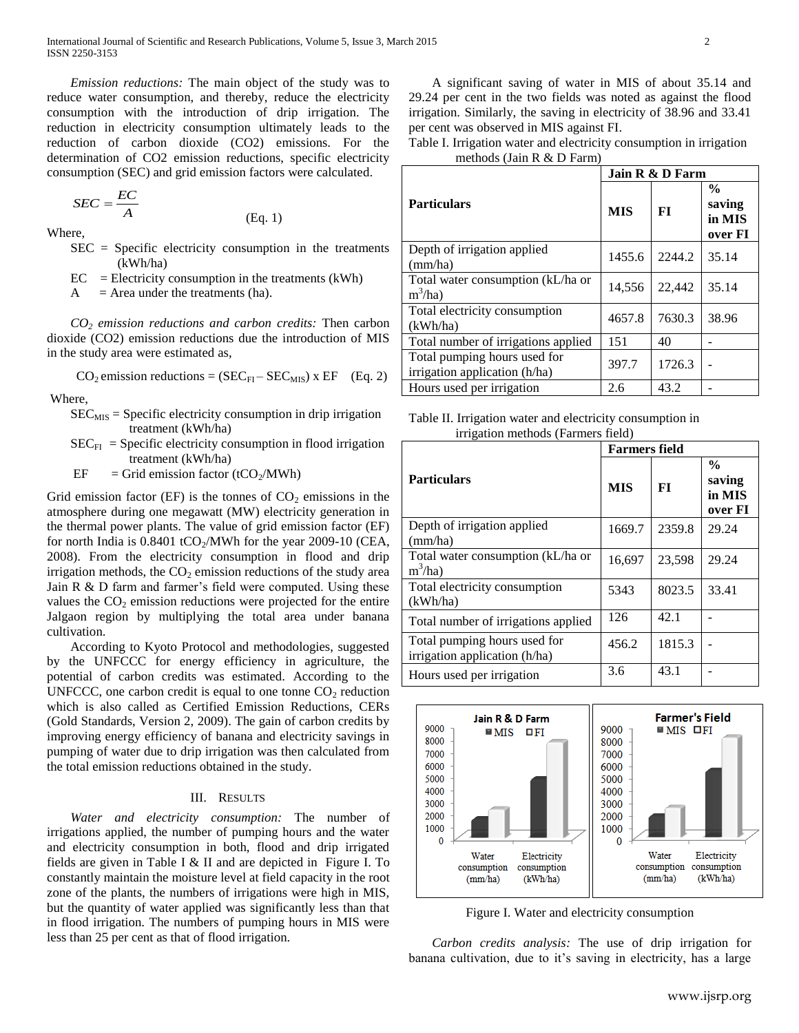*Emission reductions:* The main object of the study was to reduce water consumption, and thereby, reduce the electricity consumption with the introduction of drip irrigation. The reduction in electricity consumption ultimately leads to the reduction of carbon dioxide (CO2) emissions. For the determination of CO2 emission reductions, specific electricity consumption (SEC) and grid emission factors were calculated.

$$
SEC = \frac{EC}{A}
$$

Where,

SEC = Specific electricity consumption in the treatments (kWh/ha)

(Eq. 1)

 $EC = Electricity consumption in the treatments (kWh)$ 

 $A = Area$  under the treatments (ha).

*CO<sup>2</sup> emission reductions and carbon credits:* Then carbon dioxide (CO2) emission reductions due the introduction of MIS in the study area were estimated as,

$$
CO_2
$$
 emission reductions =  $(SEC_{FI} - SEC_{MIS}) \times EF$  (Eq. 2)

Where,

- $SEC_{MIS} = Specific electricity consumption in drip irradiation$ treatment (kWh/ha)
- $SEC_{FI}$  = Specific electricity consumption in flood irrigation treatment (kWh/ha)
- EF = Grid emission factor (tCO<sub>2</sub>/MWh)

Grid emission factor (EF) is the tonnes of  $CO<sub>2</sub>$  emissions in the atmosphere during one megawatt (MW) electricity generation in the thermal power plants. The value of grid emission factor (EF) for north India is  $0.8401$  tCO<sub>2</sub>/MWh for the year 2009-10 (CEA, 2008). From the electricity consumption in flood and drip irrigation methods, the  $CO<sub>2</sub>$  emission reductions of the study area Jain R & D farm and farmer's field were computed. Using these values the  $CO<sub>2</sub>$  emission reductions were projected for the entire Jalgaon region by multiplying the total area under banana cultivation.

According to Kyoto Protocol and methodologies, suggested by the UNFCCC for energy efficiency in agriculture, the potential of carbon credits was estimated. According to the UNFCCC, one carbon credit is equal to one tonne  $CO<sub>2</sub>$  reduction which is also called as Certified Emission Reductions, CERs (Gold Standards, Version 2, 2009). The gain of carbon credits by improving energy efficiency of banana and electricity savings in pumping of water due to drip irrigation was then calculated from the total emission reductions obtained in the study.

## III. RESULTS

*Water and electricity consumption:* The number of irrigations applied, the number of pumping hours and the water and electricity consumption in both, flood and drip irrigated fields are given in Table I & II and are depicted in Figure I. To constantly maintain the moisture level at field capacity in the root zone of the plants, the numbers of irrigations were high in MIS, but the quantity of water applied was significantly less than that in flood irrigation. The numbers of pumping hours in MIS were less than 25 per cent as that of flood irrigation.

A significant saving of water in MIS of about 35.14 and 29.24 per cent in the two fields was noted as against the flood irrigation. Similarly, the saving in electricity of 38.96 and 33.41 per cent was observed in MIS against FI.

Table I. Irrigation water and electricity consumption in irrigation methods (Jain R & D Farm)

|                                                               | Jain R & D Farm |        |                                              |  |
|---------------------------------------------------------------|-----------------|--------|----------------------------------------------|--|
| <b>Particulars</b>                                            | <b>MIS</b>      | FI     | $\frac{0}{0}$<br>saving<br>in MIS<br>over FI |  |
| Depth of irrigation applied<br>(mm/ha)                        | 1455.6          | 2244.2 | 35.14                                        |  |
| Total water consumption (kL/ha or<br>$m^3/ha$                 | 14.556          | 22,442 | 35.14                                        |  |
| Total electricity consumption<br>(kWh/ha)                     | 4657.8          | 7630.3 | 38.96                                        |  |
| Total number of irrigations applied                           | 151             | 40     |                                              |  |
| Total pumping hours used for<br>irrigation application (h/ha) | 397.7           | 1726.3 |                                              |  |
| Hours used per irrigation                                     | 2.6             | 43.2   |                                              |  |

Table II. Irrigation water and electricity consumption in irrigation methods (Farmers field)

|                                                               | <b>Farmers field</b> |        |                                              |  |
|---------------------------------------------------------------|----------------------|--------|----------------------------------------------|--|
| <b>Particulars</b>                                            | <b>MIS</b>           | FТ     | $\frac{0}{0}$<br>saving<br>in MIS<br>over FI |  |
| Depth of irrigation applied<br>(mm/ha)                        | 1669.7               | 2359.8 | 29.24                                        |  |
| Total water consumption (kL/ha or<br>$m^3/ha$                 | 16,697               | 23,598 | 29.24                                        |  |
| Total electricity consumption<br>(kWh/ha)                     | 5343                 | 8023.5 | 33.41                                        |  |
| Total number of irrigations applied                           | 126                  | 42.1   |                                              |  |
| Total pumping hours used for<br>irrigation application (h/ha) | 456.2                | 1815.3 |                                              |  |
| Hours used per irrigation                                     | 3.6                  | 43.1   |                                              |  |



Figure I. Water and electricity consumption

*Carbon credits analysis:* The use of drip irrigation for banana cultivation, due to it's saving in electricity, has a large